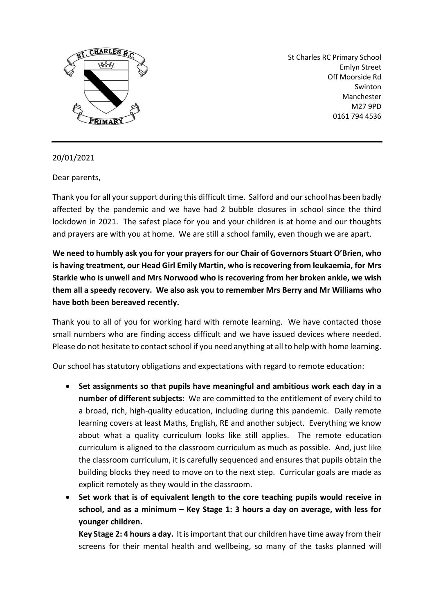

St Charles RC Primary School Emlyn Street Off Moorside Rd Swinton Manchester M27 9PD 0161 794 4536

## 20/01/2021

Dear parents,

Thank you for all your support during this difficult time. Salford and our school has been badly affected by the pandemic and we have had 2 bubble closures in school since the third lockdown in 2021. The safest place for you and your children is at home and our thoughts and prayers are with you at home. We are still a school family, even though we are apart.

**We need to humbly ask you for your prayers for our Chair of Governors Stuart O'Brien, who is having treatment, our Head Girl Emily Martin, who is recovering from leukaemia, for Mrs Starkie who is unwell and Mrs Norwood who is recovering from her broken ankle, we wish them all a speedy recovery. We also ask you to remember Mrs Berry and Mr Williams who have both been bereaved recently.** 

Thank you to all of you for working hard with remote learning. We have contacted those small numbers who are finding access difficult and we have issued devices where needed. Please do not hesitate to contact school if you need anything at all to help with home learning.

Our school has statutory obligations and expectations with regard to remote education:

- **Set assignments so that pupils have meaningful and ambitious work each day in a number of different subjects:** We are committed to the entitlement of every child to a broad, rich, high-quality education, including during this pandemic. Daily remote learning covers at least Maths, English, RE and another subject. Everything we know about what a quality curriculum looks like still applies. The remote education curriculum is aligned to the classroom curriculum as much as possible. And, just like the classroom curriculum, it is carefully sequenced and ensures that pupils obtain the building blocks they need to move on to the next step. Curricular goals are made as explicit remotely as they would in the classroom.
- **Set work that is of equivalent length to the core teaching pupils would receive in school, and as a minimum – Key Stage 1: 3 hours a day on average, with less for younger children.**

**Key Stage 2: 4 hours a day.** It is important that our children have time away from their screens for their mental health and wellbeing, so many of the tasks planned will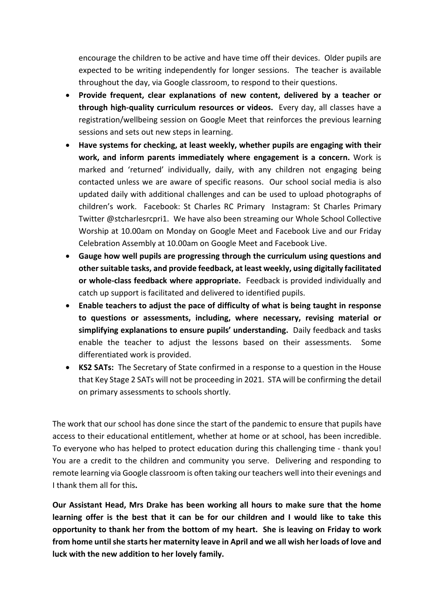encourage the children to be active and have time off their devices. Older pupils are expected to be writing independently for longer sessions. The teacher is available throughout the day, via Google classroom, to respond to their questions.

- **Provide frequent, clear explanations of new content, delivered by a teacher or through high-quality curriculum resources or videos.** Every day, all classes have a registration/wellbeing session on Google Meet that reinforces the previous learning sessions and sets out new steps in learning.
- **Have systems for checking, at least weekly, whether pupils are engaging with their work, and inform parents immediately where engagement is a concern.** Work is marked and 'returned' individually, daily, with any children not engaging being contacted unless we are aware of specific reasons. Our school social media is also updated daily with additional challenges and can be used to upload photographs of children's work. Facebook: St Charles RC Primary Instagram: St Charles Primary Twitter @stcharlesrcpri1. We have also been streaming our Whole School Collective Worship at 10.00am on Monday on Google Meet and Facebook Live and our Friday Celebration Assembly at 10.00am on Google Meet and Facebook Live.
- **Gauge how well pupils are progressing through the curriculum using questions and other suitable tasks, and provide feedback, at least weekly, using digitally facilitated or whole-class feedback where appropriate.** Feedback is provided individually and catch up support is facilitated and delivered to identified pupils.
- **Enable teachers to adjust the pace of difficulty of what is being taught in response to questions or assessments, including, where necessary, revising material or simplifying explanations to ensure pupils' understanding.** Daily feedback and tasks enable the teacher to adjust the lessons based on their assessments. Some differentiated work is provided.
- **KS2 SATs:** The Secretary of State confirmed in a response to a question in the House that Key Stage 2 SATs will not be proceeding in 2021. STA will be confirming the detail on primary assessments to schools shortly.

The work that our school has done since the start of the pandemic to ensure that pupils have access to their educational entitlement, whether at home or at school, has been incredible. To everyone who has helped to protect education during this challenging time - thank you! You are a credit to the children and community you serve. Delivering and responding to remote learning via Google classroom is often taking our teachers well into their evenings and I thank them all for this**.** 

**Our Assistant Head, Mrs Drake has been working all hours to make sure that the home learning offer is the best that it can be for our children and I would like to take this opportunity to thank her from the bottom of my heart. She is leaving on Friday to work from home until she starts her maternity leave in April and we all wish her loads of love and luck with the new addition to her lovely family.**